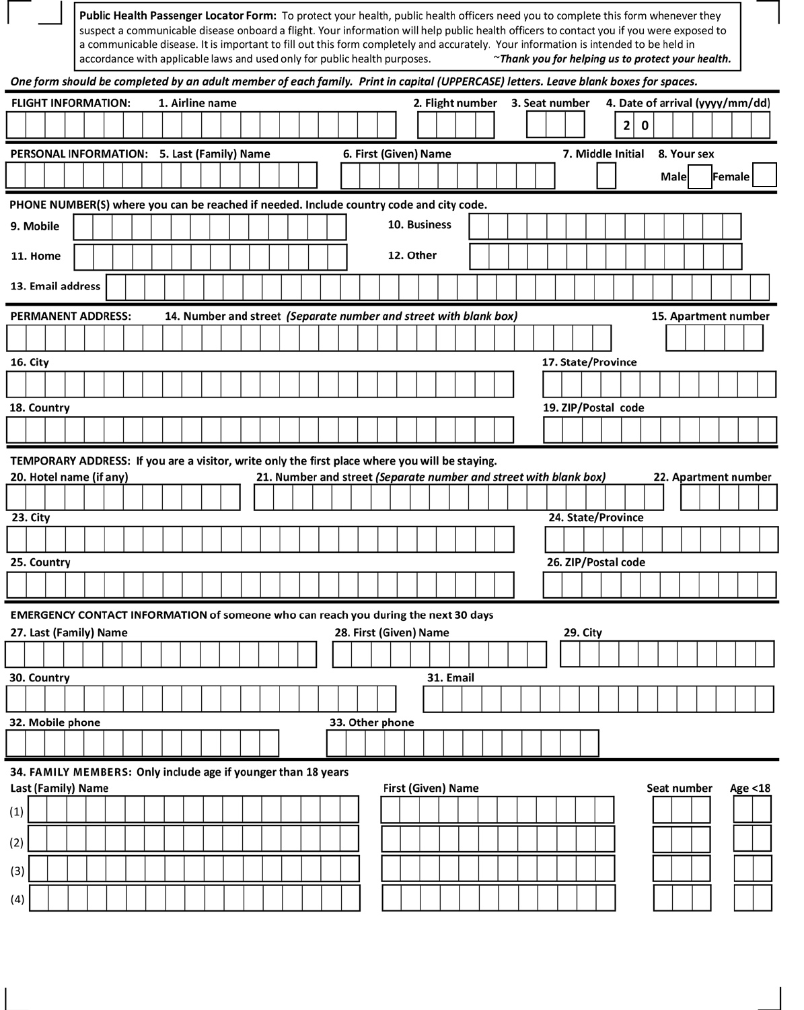|     |           |                   |                                                               |  |                 |  |  |  |  |  | accordance with applicable laws and used only for public health purposes.                      |                    |           | Public Health Passenger Locator Form: To protect your health, public health officers need you to complete this form whenever they<br>suspect a communicable disease onboard a flight. Your information will help public health officers to contact you if you were exposed to<br>a communicable disease. It is important to fill out this form completely and accurately. Your information is intended to be held in |  |  |                     |   |   |             |             | ~Thank you for helping us to protect your health. |                                 |  |
|-----|-----------|-------------------|---------------------------------------------------------------|--|-----------------|--|--|--|--|--|------------------------------------------------------------------------------------------------|--------------------|-----------|----------------------------------------------------------------------------------------------------------------------------------------------------------------------------------------------------------------------------------------------------------------------------------------------------------------------------------------------------------------------------------------------------------------------|--|--|---------------------|---|---|-------------|-------------|---------------------------------------------------|---------------------------------|--|
|     |           |                   |                                                               |  |                 |  |  |  |  |  |                                                                                                |                    |           | One form should be completed by an adult member of each family. Print in capital (UPPERCASE) letters. Leave blank boxes for spaces.                                                                                                                                                                                                                                                                                  |  |  |                     |   |   |             |             |                                                   |                                 |  |
|     |           |                   | <b>FLIGHT INFORMATION:</b>                                    |  | 1. Airline name |  |  |  |  |  |                                                                                                |                    |           | 2. Flight number 3. Seat number                                                                                                                                                                                                                                                                                                                                                                                      |  |  |                     |   |   |             |             |                                                   | 4. Date of arrival (yyyy/mm/dd) |  |
|     |           |                   |                                                               |  |                 |  |  |  |  |  |                                                                                                |                    |           |                                                                                                                                                                                                                                                                                                                                                                                                                      |  |  |                     | 2 | 0 |             |             |                                                   |                                 |  |
|     |           |                   | PERSONAL INFORMATION: 5. Last (Family) Name                   |  |                 |  |  |  |  |  | 6. First (Given) Name                                                                          |                    |           |                                                                                                                                                                                                                                                                                                                                                                                                                      |  |  | 7. Middle Initial   |   |   |             | 8. Your sex |                                                   |                                 |  |
|     |           |                   |                                                               |  |                 |  |  |  |  |  |                                                                                                |                    |           |                                                                                                                                                                                                                                                                                                                                                                                                                      |  |  |                     |   |   | <b>Male</b> |             |                                                   | Female                          |  |
|     |           |                   |                                                               |  |                 |  |  |  |  |  | PHONE NUMBER(S) where you can be reached if needed. Include country code and city code.        |                    |           |                                                                                                                                                                                                                                                                                                                                                                                                                      |  |  |                     |   |   |             |             |                                                   |                                 |  |
|     | 9. Mobile |                   |                                                               |  |                 |  |  |  |  |  |                                                                                                | 10. Business       |           |                                                                                                                                                                                                                                                                                                                                                                                                                      |  |  |                     |   |   |             |             |                                                   |                                 |  |
|     | 11. Home  |                   |                                                               |  |                 |  |  |  |  |  |                                                                                                | 12. Other          |           |                                                                                                                                                                                                                                                                                                                                                                                                                      |  |  |                     |   |   |             |             |                                                   |                                 |  |
|     |           | 13. Email address |                                                               |  |                 |  |  |  |  |  |                                                                                                |                    |           |                                                                                                                                                                                                                                                                                                                                                                                                                      |  |  |                     |   |   |             |             |                                                   |                                 |  |
|     |           |                   | <b>PERMANENT ADDRESS:</b>                                     |  |                 |  |  |  |  |  |                                                                                                |                    |           | 14. Number and street (Separate number and street with blank box)                                                                                                                                                                                                                                                                                                                                                    |  |  |                     |   |   |             |             |                                                   | 15. Apartment number            |  |
|     |           |                   |                                                               |  |                 |  |  |  |  |  |                                                                                                |                    |           |                                                                                                                                                                                                                                                                                                                                                                                                                      |  |  |                     |   |   |             |             |                                                   |                                 |  |
|     | 16. City  |                   |                                                               |  |                 |  |  |  |  |  |                                                                                                |                    |           |                                                                                                                                                                                                                                                                                                                                                                                                                      |  |  | 17. State/Province  |   |   |             |             |                                                   |                                 |  |
|     |           |                   |                                                               |  |                 |  |  |  |  |  |                                                                                                |                    |           |                                                                                                                                                                                                                                                                                                                                                                                                                      |  |  |                     |   |   |             |             |                                                   |                                 |  |
|     |           | 18. Country       |                                                               |  |                 |  |  |  |  |  |                                                                                                |                    |           |                                                                                                                                                                                                                                                                                                                                                                                                                      |  |  | 19. ZIP/Postal code |   |   |             |             |                                                   |                                 |  |
|     |           |                   |                                                               |  |                 |  |  |  |  |  |                                                                                                |                    |           |                                                                                                                                                                                                                                                                                                                                                                                                                      |  |  |                     |   |   |             |             |                                                   |                                 |  |
|     |           |                   |                                                               |  |                 |  |  |  |  |  | TEMPORARY ADDRESS: If you are a visitor, write only the first place where you will be staying. |                    |           |                                                                                                                                                                                                                                                                                                                                                                                                                      |  |  |                     |   |   |             |             |                                                   |                                 |  |
|     |           |                   | 20. Hotel name (if any)                                       |  |                 |  |  |  |  |  |                                                                                                |                    |           | 21. Number and street (Separate number and street with blank box)                                                                                                                                                                                                                                                                                                                                                    |  |  |                     |   |   |             |             |                                                   | 22. Apartment number            |  |
|     |           |                   |                                                               |  |                 |  |  |  |  |  |                                                                                                |                    |           |                                                                                                                                                                                                                                                                                                                                                                                                                      |  |  |                     |   |   |             |             |                                                   |                                 |  |
|     | 23. City  |                   |                                                               |  |                 |  |  |  |  |  |                                                                                                |                    |           |                                                                                                                                                                                                                                                                                                                                                                                                                      |  |  | 24. State/Province  |   |   |             |             |                                                   |                                 |  |
|     |           |                   |                                                               |  |                 |  |  |  |  |  |                                                                                                |                    |           |                                                                                                                                                                                                                                                                                                                                                                                                                      |  |  |                     |   |   |             |             |                                                   |                                 |  |
|     |           | 25. Country       |                                                               |  |                 |  |  |  |  |  |                                                                                                |                    |           |                                                                                                                                                                                                                                                                                                                                                                                                                      |  |  | 26. ZIP/Postal code |   |   |             |             |                                                   |                                 |  |
|     |           |                   |                                                               |  |                 |  |  |  |  |  |                                                                                                |                    |           |                                                                                                                                                                                                                                                                                                                                                                                                                      |  |  |                     |   |   |             |             |                                                   |                                 |  |
|     |           |                   |                                                               |  |                 |  |  |  |  |  | EMERGENCY CONTACT INFORMATION of someone who can reach you during the next 30 days             |                    |           |                                                                                                                                                                                                                                                                                                                                                                                                                      |  |  |                     |   |   |             |             |                                                   |                                 |  |
|     |           |                   | 27. Last (Family) Name                                        |  |                 |  |  |  |  |  | 28. First (Given) Name                                                                         |                    |           |                                                                                                                                                                                                                                                                                                                                                                                                                      |  |  | 29. City            |   |   |             |             |                                                   |                                 |  |
|     |           |                   |                                                               |  |                 |  |  |  |  |  |                                                                                                |                    |           |                                                                                                                                                                                                                                                                                                                                                                                                                      |  |  |                     |   |   |             |             |                                                   |                                 |  |
|     |           |                   |                                                               |  |                 |  |  |  |  |  |                                                                                                |                    |           |                                                                                                                                                                                                                                                                                                                                                                                                                      |  |  |                     |   |   |             |             |                                                   |                                 |  |
|     |           | 30. Country       |                                                               |  |                 |  |  |  |  |  |                                                                                                |                    | 31. Email |                                                                                                                                                                                                                                                                                                                                                                                                                      |  |  |                     |   |   |             |             |                                                   |                                 |  |
|     |           |                   |                                                               |  |                 |  |  |  |  |  |                                                                                                |                    |           |                                                                                                                                                                                                                                                                                                                                                                                                                      |  |  |                     |   |   |             |             |                                                   |                                 |  |
|     |           | 32. Mobile phone  |                                                               |  |                 |  |  |  |  |  | 33. Other phone                                                                                |                    |           |                                                                                                                                                                                                                                                                                                                                                                                                                      |  |  |                     |   |   |             |             |                                                   |                                 |  |
|     |           |                   |                                                               |  |                 |  |  |  |  |  |                                                                                                |                    |           |                                                                                                                                                                                                                                                                                                                                                                                                                      |  |  |                     |   |   |             |             |                                                   |                                 |  |
|     |           |                   | 34. FAMILY MEMBERS: Only include age if younger than 18 years |  |                 |  |  |  |  |  |                                                                                                |                    |           |                                                                                                                                                                                                                                                                                                                                                                                                                      |  |  |                     |   |   |             |             |                                                   |                                 |  |
| (1) |           |                   | Last (Family) Name                                            |  |                 |  |  |  |  |  |                                                                                                | First (Given) Name |           |                                                                                                                                                                                                                                                                                                                                                                                                                      |  |  |                     |   |   |             | Seat number |                                                   | Age <18                         |  |
| (2) |           |                   |                                                               |  |                 |  |  |  |  |  |                                                                                                |                    |           |                                                                                                                                                                                                                                                                                                                                                                                                                      |  |  |                     |   |   |             |             |                                                   |                                 |  |
| (3) |           |                   |                                                               |  |                 |  |  |  |  |  |                                                                                                |                    |           |                                                                                                                                                                                                                                                                                                                                                                                                                      |  |  |                     |   |   |             |             |                                                   |                                 |  |